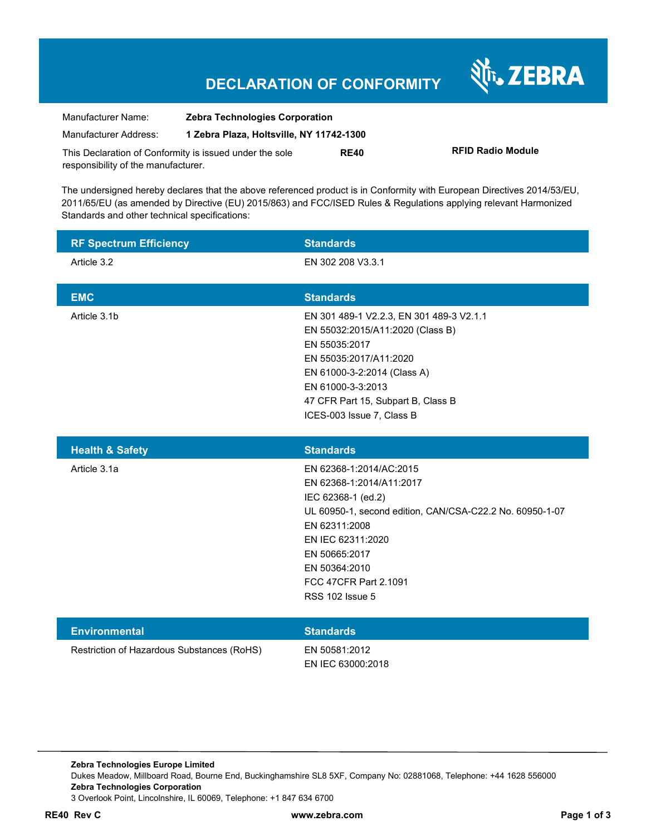### **DECLARATION OF CONFORMITY**

Nr. ZEBRA

| Manufacturer Name:                                      | <b>Zebra Technologies Corporation</b>    |             |                          |
|---------------------------------------------------------|------------------------------------------|-------------|--------------------------|
| Manufacturer Address:                                   | 1 Zebra Plaza, Holtsville, NY 11742-1300 |             |                          |
| This Declaration of Conformity is issued under the sole |                                          | <b>RE40</b> | <b>RFID Radio Module</b> |
| responsibility of the manufacturer.                     |                                          |             |                          |

The undersigned hereby declares that the above referenced product is in Conformity with European Directives 2014/53/EU, 2011/65/EU (as amended by Directive (EU) 2015/863) and FCC/ISED Rules & Regulations applying relevant Harmonized Standards and other technical specifications:

| <b>RF Spectrum Efficiency</b>                                      | <b>Standards</b>                                                                                                                                                                                                                                          |
|--------------------------------------------------------------------|-----------------------------------------------------------------------------------------------------------------------------------------------------------------------------------------------------------------------------------------------------------|
| Article 3.2                                                        | EN 302 208 V3.3.1                                                                                                                                                                                                                                         |
| <b>EMC</b>                                                         | <b>Standards</b>                                                                                                                                                                                                                                          |
| Article 3.1b                                                       | EN 301 489-1 V2.2.3, EN 301 489-3 V2.1.1<br>EN 55032:2015/A11:2020 (Class B)<br>EN 55035:2017<br>EN 55035:2017/A11:2020<br>EN 61000-3-2:2014 (Class A)<br>EN 61000-3-3:2013<br>47 CFR Part 15, Subpart B, Class B<br>ICES-003 Issue 7, Class B            |
| <b>Health &amp; Safety</b>                                         | <b>Standards</b>                                                                                                                                                                                                                                          |
| Article 3.1a                                                       | EN 62368-1:2014/AC:2015<br>EN 62368-1:2014/A11:2017<br>IEC 62368-1 (ed.2)<br>UL 60950-1, second edition, CAN/CSA-C22.2 No. 60950-1-07<br>EN 62311:2008<br>EN IEC 62311:2020<br>EN 50665:2017<br>EN 50364:2010<br>FCC 47CFR Part 2.1091<br>RSS 102 Issue 5 |
| <b>Environmental</b><br>Restriction of Hazardous Substances (RoHS) | <b>Standards</b><br>EN 50581:2012<br>EN IEC 63000:2018                                                                                                                                                                                                    |

**Zebra Technologies Europe Limited**  Dukes Meadow, Millboard Road, Bourne End, Buckinghamshire SL8 5XF, Company No: 02881068, Telephone: +44 1628 556000 **Zebra Technologies Corporation**  3 Overlook Point, Lincolnshire, IL 60069, Telephone: +1 847 634 6700

**RE40 Rev C www.zebra.com Page 1 of 3**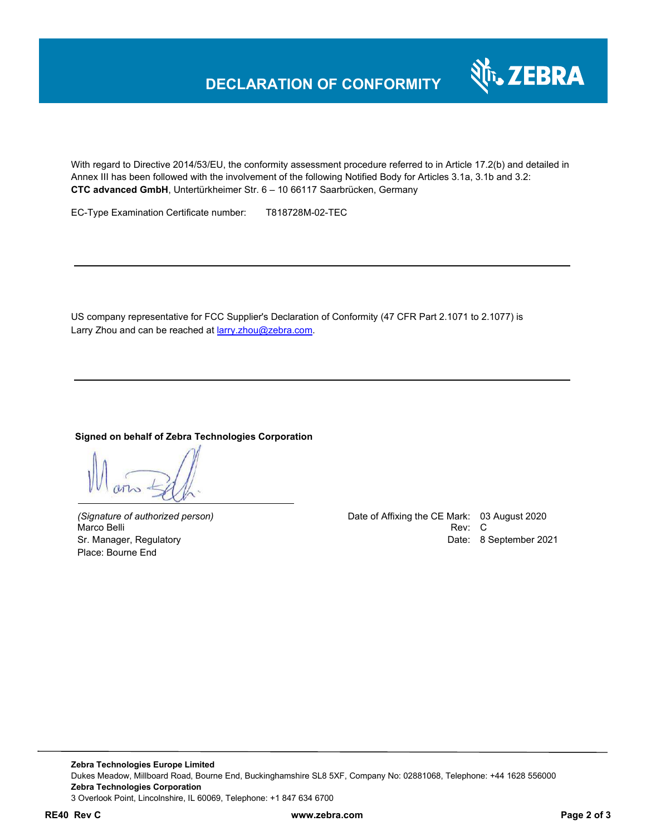

With regard to Directive 2014/53/EU, the conformity assessment procedure referred to in Article 17.2(b) and detailed in Annex III has been followed with the involvement of the following Notified Body for Articles 3.1a, 3.1b and 3.2: **CTC advanced GmbH**, Untertürkheimer Str. 6 – 10 66117 Saarbrücken, Germany

EC-Type Examination Certificate number: T818728M-02-TEC

US company representative for FCC Supplier's Declaration of Conformity (47 CFR Part 2.1071 to 2.1077) is Larry Zhou and can be reached at **larry.zhou@zebra.com.** 

#### **Signed on behalf of Zebra Technologies Corporation**

Place: Bourne End

*(Signature of authorized person)* Date of Affixing the CE Mark: 03 August 2020 Marco Belli Rev: Compared to the control of the control of the control of the control of the control of the control of the control of the control of the control of the control of the control of the control of the control o Sr. Manager, Regulatory **Date: 8 September 2021**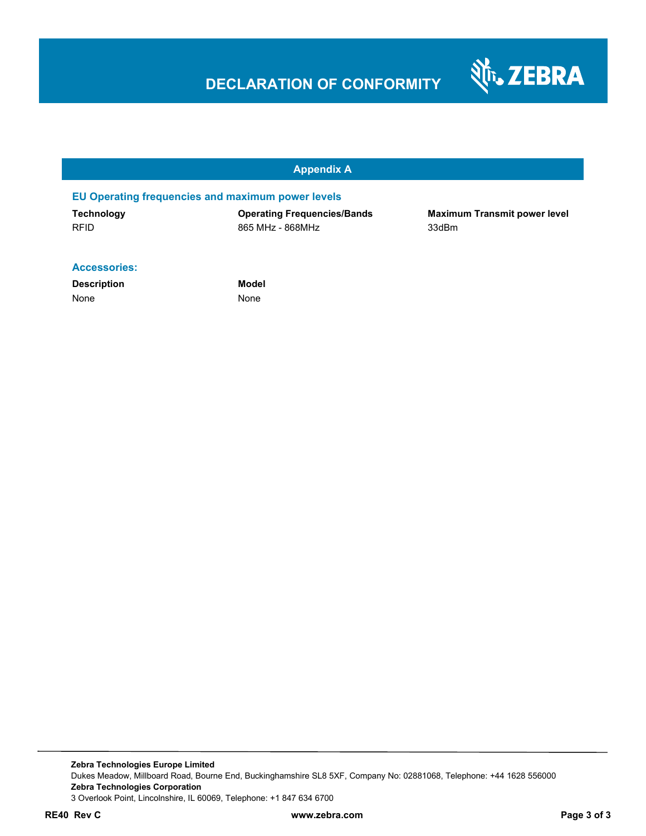# **DECLARATION OF CONFORMITY**



#### **Appendix A**

#### **EU Operating frequencies and maximum power levels**

| Technology  | <b>Operating Frequencies/Bands</b> | <b>Maximum Transmit power level</b> |
|-------------|------------------------------------|-------------------------------------|
| <b>RFID</b> | 865 MHz - 868MHz                   | 33dBm                               |

#### **Accessories:**

**Description Model** None None